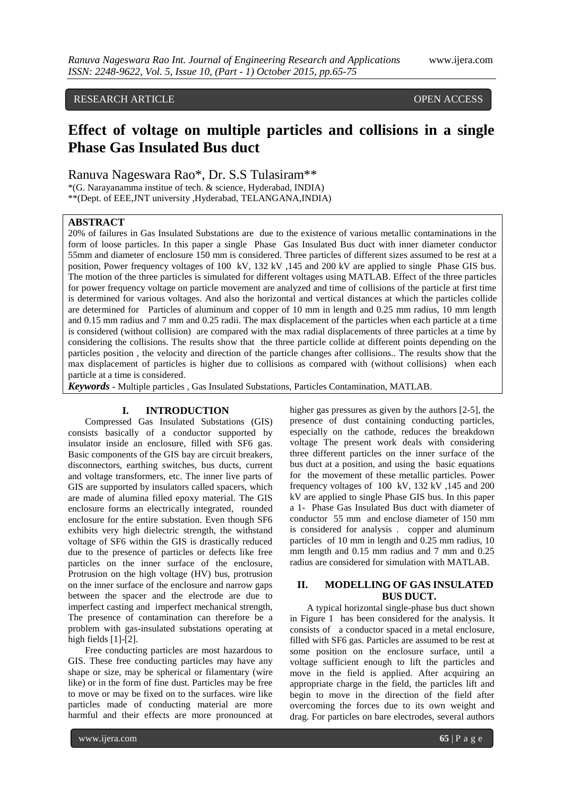# RESEARCH ARTICLE **CONSERVERS** OPEN ACCESS

# **Effect of voltage on multiple particles and collisions in a single Phase Gas Insulated Bus duct**

Ranuva Nageswara Rao\*, Dr. S.S Tulasiram\*\*

\*(G. Narayanamma institue of tech. & science, Hyderabad, INDIA)

\*\*(Dept. of EEE,JNT university ,Hyderabad, TELANGANA,INDIA)

# **ABSTRACT**

20% of failures in Gas Insulated Substations are due to the existence of various metallic contaminations in the form of loose particles. In this paper a single Phase Gas Insulated Bus duct with inner diameter conductor 55mm and diameter of enclosure 150 mm is considered. Three particles of different sizes assumed to be rest at a position, Power frequency voltages of 100 kV, 132 kV ,145 and 200 kV are applied to single Phase GIS bus. The motion of the three particles is simulated for different voltages using MATLAB. Effect of the three particles for power frequency voltage on particle movement are analyzed and time of collisions of the particle at first time is determined for various voltages. And also the horizontal and vertical distances at which the particles collide are determined for Particles of aluminum and copper of 10 mm in length and 0.25 mm radius, 10 mm length and 0.15 mm radius and 7 mm and 0.25 radii. The max displacement of the particles when each particle at a time is considered (without collision) are compared with the max radial displacements of three particles at a time by considering the collisions. The results show that the three particle collide at different points depending on the particles position , the velocity and direction of the particle changes after collisions.. The results show that the max displacement of particles is higher due to collisions as compared with (without collisions) when each particle at a time is considered.

*Keywords* **-** Multiple particles , Gas Insulated Substations, Particles Contamination, MATLAB.

## **I. INTRODUCTION**

Compressed Gas Insulated Substations (GIS) consists basically of a conductor supported by insulator inside an enclosure, filled with SF6 gas. Basic components of the GIS bay are circuit breakers, disconnectors, earthing switches, bus ducts, current and voltage transformers, etc. The inner live parts of GIS are supported by insulators called spacers, which are made of alumina filled epoxy material. The GIS enclosure forms an electrically integrated, rounded enclosure for the entire substation. Even though SF6 exhibits very high dielectric strength, the withstand voltage of SF6 within the GIS is drastically reduced due to the presence of particles or defects like free particles on the inner surface of the enclosure, Protrusion on the high voltage (HV) bus, protrusion on the inner surface of the enclosure and narrow gaps between the spacer and the electrode are due to imperfect casting and imperfect mechanical strength, The presence of contamination can therefore be a problem with gas-insulated substations operating at high fields [1]-[2].

Free conducting particles are most hazardous to GIS. These free conducting particles may have any shape or size, may be spherical or filamentary (wire like) or in the form of fine dust. Particles may be free to move or may be fixed on to the surfaces. wire like particles made of conducting material are more harmful and their effects are more pronounced at higher gas pressures as given by the authors [2-5], the presence of dust containing conducting particles, especially on the cathode, reduces the breakdown voltage The present work deals with considering three different particles on the inner surface of the bus duct at a position, and using the basic equations for the movement of these metallic particles. Power frequency voltages of 100 kV, 132 kV ,145 and 200 kV are applied to single Phase GIS bus. In this paper a 1- Phase Gas Insulated Bus duct with diameter of conductor 55 mm and enclose diameter of 150 mm is considered for analysis . copper and aluminum particles of 10 mm in length and 0.25 mm radius, 10 mm length and  $0.15$  mm radius and 7 mm and  $0.25$ radius are considered for simulation with MATLAB.

## **II. MODELLING OF GAS INSULATED BUS DUCT.**

A typical horizontal single-phase bus duct shown in Figure 1 has been considered for the analysis. It consists of a conductor spaced in a metal enclosure, filled with SF6 gas. Particles are assumed to be rest at some position on the enclosure surface, until a voltage sufficient enough to lift the particles and move in the field is applied. After acquiring an appropriate charge in the field, the particles lift and begin to move in the direction of the field after overcoming the forces due to its own weight and drag. For particles on bare electrodes, several authors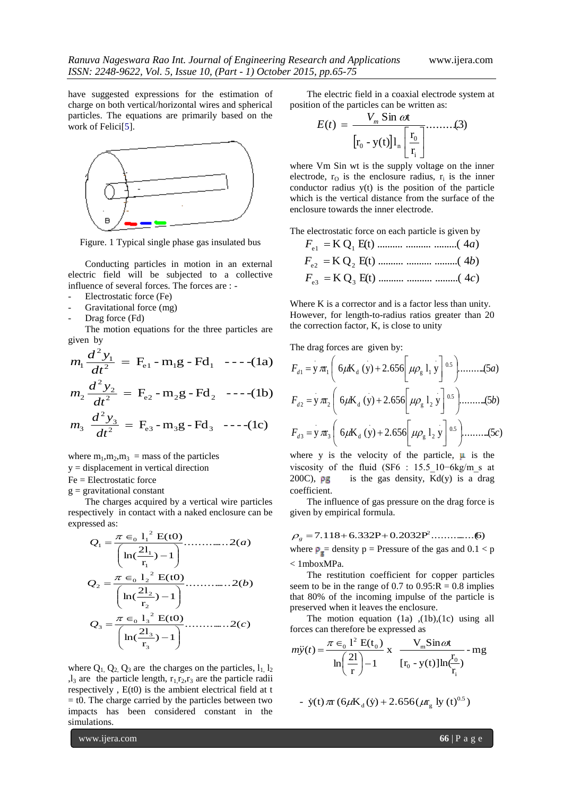have suggested expressions for the estimation of charge on both vertical/horizontal wires and spherical particles. The equations are primarily based on the work of Felici<sup>[5]</sup>.



Figure. 1 Typical single phase gas insulated bus

Conducting particles in motion in an external electric field will be subjected to a collective influence of several forces. The forces are : -

- Electrostatic force (Fe)
- Gravitational force (mg)
- Drag force (Fd)

The motion equations for the three particles are given by

$$
m_1 \frac{d^2 y_1}{dt^2} = F_{e1} - m_1 g - F d_1 \quad -- -(1a)
$$
  

$$
m_2 \frac{d^2 y_2}{dt^2} = F_{e2} - m_2 g - F d_2 \quad -- -(1b)
$$

$$
m_3 \frac{d^2 y_3}{dt^2} = F_{e3} - m_3 g - F d_3 \ \ \text{---(1c)}
$$

where  $m_1, m_2, m_3$  = mass of the particles

y = displacement in vertical direction

Fe = Electrostatic force

 $g =$  gravitational constant

The charges acquired by a vertical wire particles respectively in contact with a naked enclosure can be expressed as:

$$
Q_{1} = \frac{\pi \epsilon_{0} 1_{1}^{2} E(t0)}{\left(\ln(\frac{2l_{1}}{r_{1}}) - 1\right)}
$$
............ 2(*a*)  
\n
$$
Q_{2} = \frac{\pi \epsilon_{0} 1_{2}^{2} E(t0)}{\left(\ln(\frac{2l_{2}}{r_{2}}) - 1\right)}
$$
............ 2(*b*)  
\n
$$
Q_{3} = \frac{\pi \epsilon_{0} 1_{3}^{2} E(t0)}{\left(\ln(\frac{2l_{3}}{r_{3}}) - 1\right)}
$$
............ 2(*c*)

where  $Q_1$ ,  $Q_2$ ,  $Q_3$  are the charges on the particles,  $l_1$ ,  $l_2$  $l_3$  are the particle length,  $r_1r_2,r_3$  are the particle radii respectively , E(t0) is the ambient electrical field at t  $=$  t0. The charge carried by the particles between two impacts has been considered constant in the simulations.

The electric field in a coaxial electrode system at position of the particles can be written as:

$$
E(t) = \frac{V_m \sin \omega t}{\left[r_0 - y(t)\right]l_n \left[\frac{r_0}{r_i}\right]}\dots \dots \dots (3)
$$

where Vm Sin wt is the supply voltage on the inner electrode,  $r_0$  is the enclosure radius,  $r_i$  is the inner conductor radius y(t) is the position of the particle which is the vertical distance from the surface of the enclosure towards the inner electrode.

The electrostatic force on each particle is given by

 K Q E(t) .......... .......... .........( <sup>4</sup> ) *<sup>F</sup>*e 1 <sup>1</sup> *<sup>a</sup>* K Q E(t) .......... .......... .........( <sup>4</sup> ) *<sup>F</sup>*e 2 <sup>2</sup> *<sup>b</sup>* K Q E(t) .......... .......... .........( 4 ) e 3 <sup>3</sup> *<sup>F</sup> <sup>c</sup>*

Where K is a corrector and is a factor less than unity. However, for length-to-radius ratios greater than 20 the correction factor, K, is close to unity

The drag forces are given by:

$$
F_{d1} = y \pi_1 \left( 6\mu K_d (y) + 2.656 \left[ \mu \rho_g 1_1 y \right]^{0.5} \right) \dots \dots \dots (5a)
$$
  
\n
$$
F_{d2} = y \pi_2 \left( 6\mu K_d (y) + 2.656 \left[ \mu \rho_g 1_2 y \right]^{0.5} \right) \dots \dots \dots (5b)
$$
  
\n
$$
F_{d3} = y \pi_3 \left( 6\mu K_d (y) + 2.656 \left[ \mu \rho_g 1_2 y \right]^{0.5} \right) \dots \dots \dots (5c)
$$

where y is the velocity of the particle,  $\mu$  is the viscosity of the fluid (SF6 : 15.5\_10−6kg/m\_s at 200C),  $\rho g$  is the gas density, Kd(y) is a drag coefficient.

The influence of gas pressure on the drag force is given by empirical formula.

$$
\rho_{s} = 7.118 + 6.332P + 0.2032P^{2} \dots \dots \dots \dots (6)
$$

where  $\rho_g$  = density p = Pressure of the gas and  $0.1 < p$ < 1mboxMPa.

The restitution coefficient for copper particles seem to be in the range of 0.7 to  $0.95$ : $R = 0.8$  implies that 80% of the incoming impulse of the particle is preserved when it leaves the enclosure.

The motion equation (1a) ,(1b),(1c) using all forces can therefore be expressed as

$$
m\ddot{y}(t) = \frac{\pi \epsilon_0 l^2 E(t_0)}{\ln\left(\frac{2l}{r}\right) - 1} x \frac{V_m \sin \omega t}{[r_0 - y(t)]\ln\left(\frac{r_0}{r_0}\right)} - mg
$$

- 
$$
\dot{y}(t) \pi r (6\mu K_d(\dot{y}) + 2.656(\mu r_g \text{ ly } (t)^{0.5})
$$

www.ijera.com **66** | P a g e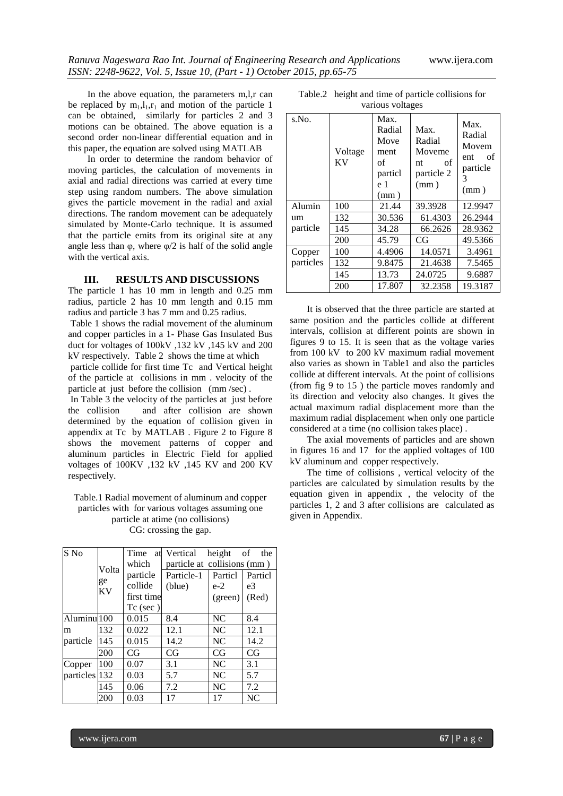In the above equation, the parameters m,l,r can be replaced by  $m_1, l_1, r_1$  and motion of the particle 1 can be obtained, similarly for particles 2 and 3 motions can be obtained. The above equation is a second order non-linear differential equation and in this paper, the equation are solved using MATLAB

In order to determine the random behavior of moving particles, the calculation of movements in axial and radial directions was carried at every time step using random numbers. The above simulation gives the particle movement in the radial and axial directions. The random movement can be adequately simulated by Monte-Carlo technique. It is assumed that the particle emits from its original site at any angle less than  $\varphi$ , where  $\varphi/2$  is half of the solid angle with the vertical axis.

### **III. RESULTS AND DISCUSSIONS**

The particle 1 has 10 mm in length and 0.25 mm radius, particle 2 has 10 mm length and 0.15 mm radius and particle 3 has 7 mm and 0.25 radius.

Table 1 shows the radial movement of the aluminum and copper particles in a 1- Phase Gas Insulated Bus duct for voltages of 100kV ,132 kV ,145 kV and 200 kV respectively. Table 2 shows the time at which

particle collide for first time Tc and Vertical height of the particle at collisions in mm . velocity of the particle at just before the collision (mm /sec) .

In Table 3 the velocity of the particles at just before the collision and after collision are shown determined by the equation of collision given in appendix at Tc by MATLAB . Figure 2 to Figure 8 shows the movement patterns of copper and aluminum particles in Electric Field for applied voltages of 100KV ,132 kV ,145 KV and 200 KV respectively.

#### Table.1 Radial movement of aluminum and copper particles with for various voltages assuming one particle at atime (no collisions) CG: crossing the gap.

| S No          | Volta<br>ge<br>KV | Time       | at Vertical                 | height  | of<br>the |  |
|---------------|-------------------|------------|-----------------------------|---------|-----------|--|
|               |                   | which      | particle at collisions (mm) |         |           |  |
|               |                   | particle   | Particle-1                  | Particl | Particl   |  |
|               |                   | collide    | (blue)                      | $e-2$   | e3        |  |
|               |                   | first time |                             | (green) | (Red)     |  |
|               |                   | $Tc$ (sec) |                             |         |           |  |
| Aluminu 100   |                   | 0.015      | 8.4                         | NC      | 8.4       |  |
| m             | 132               | 0.022      | 12.1                        | NC      | 12.1      |  |
| particle      | 145               | 0.015      | 14.2                        | NC      | 14.2      |  |
|               | 200               | CG         | CG                          | CG      | CG        |  |
| Copper        | 100               | 0.07       | 3.1                         | NC.     | 3.1       |  |
| particles 132 |                   | 0.03       | 5.7                         | NC      | 5.7       |  |
|               | 145               | 0.06       | 7.2                         | NC      | 7.2       |  |
|               | 200               | 0.03       | 17                          | 17      | NC        |  |

Table.2 height and time of particle collisions for various voltages

| s.No.     | Voltage<br>KV | Max.<br>Radial<br>Move<br>ment<br>of<br>particl<br>e 1<br>(mm) | Max.<br>Radial<br>Moveme<br>оf<br>nt<br>particle 2<br>(mm) | Max.<br>Radial<br>Movem<br>of<br>ent<br>particle<br>3<br>(mm) |
|-----------|---------------|----------------------------------------------------------------|------------------------------------------------------------|---------------------------------------------------------------|
| Alumin    | 100           | 21.44                                                          | 39.3928                                                    | 12.9947                                                       |
| um        | 132           | 30.536                                                         | 61.4303                                                    | 26.2944                                                       |
| particle  | 145           | 34.28                                                          | 66.2626                                                    | 28.9362                                                       |
|           | 200           | 45.79                                                          | CG                                                         | 49.5366                                                       |
| Copper    | 100           | 4.4906                                                         | 14.0571                                                    | 3.4961                                                        |
| particles | 132           | 9.8475                                                         | 21.4638                                                    | 7.5465                                                        |
|           | 145           | 13.73                                                          | 24.0725                                                    | 9.6887                                                        |
|           | 200           | 17.807                                                         | 32.2358                                                    | 19.3187                                                       |

It is observed that the three particle are started at same position and the particles collide at different intervals, collision at different points are shown in figures 9 to 15. It is seen that as the voltage varies from 100 kV to 200 kV maximum radial movement also varies as shown in Table1 and also the particles collide at different intervals. At the point of collisions (from fig 9 to 15 ) the particle moves randomly and its direction and velocity also changes. It gives the actual maximum radial displacement more than the maximum radial displacement when only one particle considered at a time (no collision takes place) .

The axial movements of particles and are shown in figures 16 and 17 for the applied voltages of 100 kV aluminum and copper respectively.

The time of collisions , vertical velocity of the particles are calculated by simulation results by the equation given in appendix , the velocity of the particles 1, 2 and 3 after collisions are calculated as given in Appendix.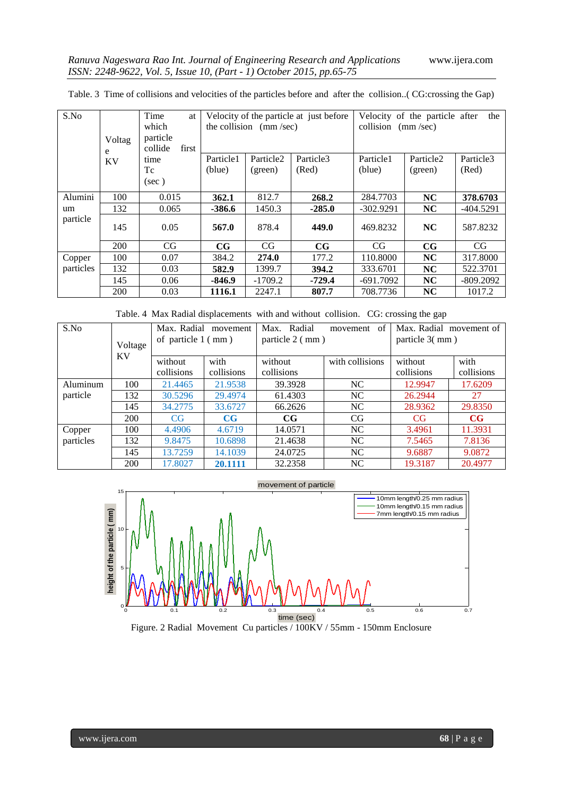| S.No      |                       | Time<br>at | Velocity of the particle at just before |                       |             | Velocity of the particle after<br>the |                       |             |
|-----------|-----------------------|------------|-----------------------------------------|-----------------------|-------------|---------------------------------------|-----------------------|-------------|
|           | which                 |            | the collision $\pmod{sec}$              |                       |             | collision $(mm/sec)$                  |                       |             |
|           | Voltag                | particle   |                                         |                       |             |                                       |                       |             |
|           | collide<br>first<br>e |            |                                         |                       |             |                                       |                       |             |
|           | <b>KV</b>             | time       | Particle1                               | Particle <sub>2</sub> | Particle3   | Particle1                             | Particle <sub>2</sub> | Particle3   |
|           |                       | Tc         | (blue)                                  | (green)               | (Red)       | (blue)                                | (green)               | (Red)       |
|           |                       | $(\sec)$   |                                         |                       |             |                                       |                       |             |
| Alumini   | 100                   | 0.015      | 362.1                                   | 812.7                 | 268.2       | 284.7703                              | NC                    | 378.6703    |
| um        | 132                   | 0.065      | $-386.6$                                | 1450.3                | $-285.0$    | $-302.9291$                           | <b>NC</b>             | $-404.5291$ |
| particle  | 145                   | 0.05       | 567.0                                   | 878.4                 | 449.0       | 469.8232                              | <b>NC</b>             | 587.8232    |
|           | 200                   | CG         | $_{\rm CG}$                             | CG                    | $_{\rm CG}$ | CG                                    | $_{\rm CG}$           | CG          |
| Copper    | 100                   | 0.07       | 384.2                                   | 274.0                 | 177.2       | 110.8000                              | <b>NC</b>             | 317.8000    |
| particles | 132                   | 0.03       | 582.9                                   | 1399.7                | 394.2       | 333.6701                              | <b>NC</b>             | 522.3701    |
|           | 145                   | 0.06       | $-846.9$                                | $-1709.2$             | $-729.4$    | $-691.7092$                           | NC                    | $-809.2092$ |
|           | 200                   | 0.03       | 1116.1                                  | 2247.1                | 807.7       | 708.7736                              | <b>NC</b>             | 1017.2      |

Table. 3 Time of collisions and velocities of the particles before and after the collision..( CG:crossing the Gap)

Table. 4 Max Radial displacements with and without collision. CG: crossing the gap

| S.No      | Voltage<br><b>KV</b> | Max. Radial<br>movement<br>of particle $1 \, (\text{mm})$ |             | Radial<br>Max.<br>particle 2 (mm) | of<br>movement  | Max. Radial movement of<br>particle 3(mm) |             |
|-----------|----------------------|-----------------------------------------------------------|-------------|-----------------------------------|-----------------|-------------------------------------------|-------------|
|           |                      | without                                                   | with        | without                           | with collisions | without                                   | with        |
|           |                      | collisions                                                | collisions  | collisions                        |                 | collisions                                | collisions  |
| Aluminum  | 100                  | 21.4465                                                   | 21.9538     | 39.3928                           | NC.             | 12.9947                                   | 17.6209     |
| particle  | 132                  | 30.5296                                                   | 29.4974     | 61.4303                           | NC              | 26.2944                                   | 27          |
|           | 145                  | 34.2775                                                   | 33.6727     | 66.2626                           | NC              | 28.9362                                   | 29.8350     |
|           | 200                  | CG.                                                       | $_{\rm CG}$ | $_{\rm CG}$                       | CG              | CG                                        | $_{\rm CG}$ |
| Copper    | 100                  | 4.4906                                                    | 4.6719      | 14.0571                           | NC              | 3.4961                                    | 11.3931     |
| particles | 132                  | 9.8475                                                    | 10.6898     | 21.4638                           | NC              | 7.5465                                    | 7.8136      |
|           | 145                  | 13.7259                                                   | 14.1039     | 24.0725                           | NC              | 9.6887                                    | 9.0872      |
|           | 200                  | 17.8027                                                   | 20.1111     | 32.2358                           | NC              | 19.3187                                   | 20.4977     |



Figure. 2 Radial Movement Cu particles / 100KV / 55mm - 150mm Enclosure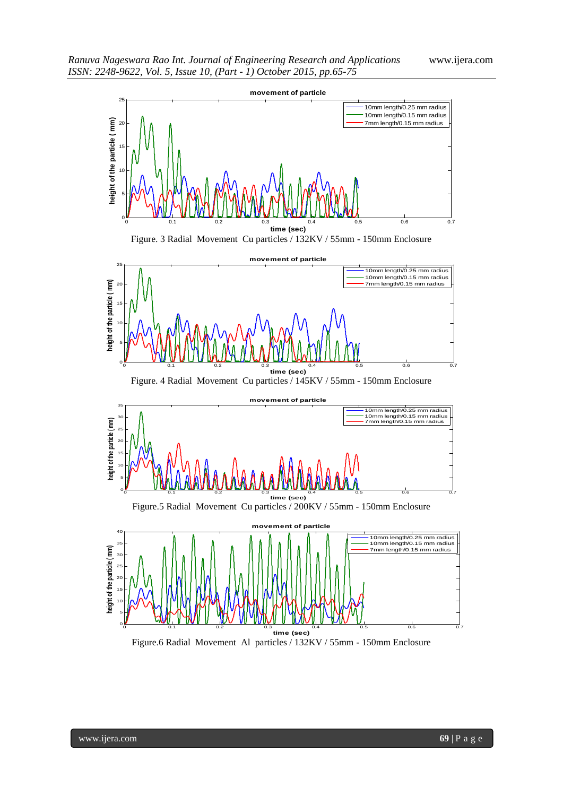

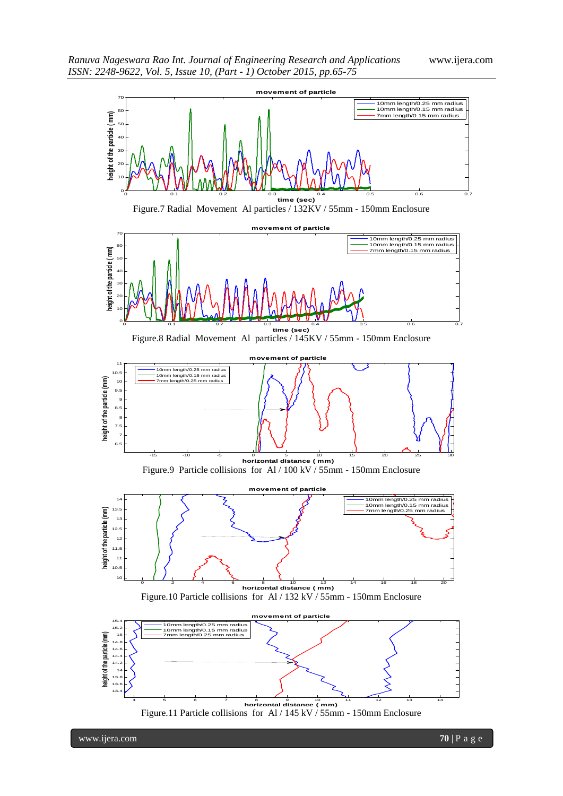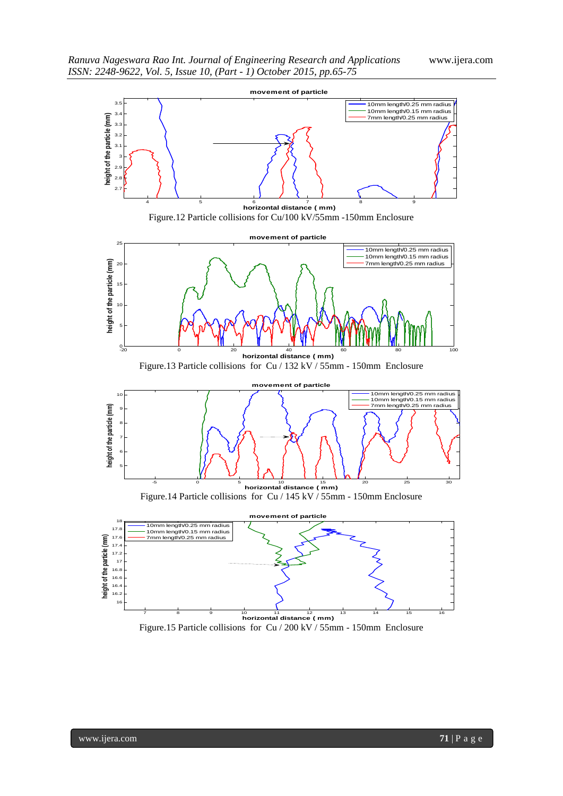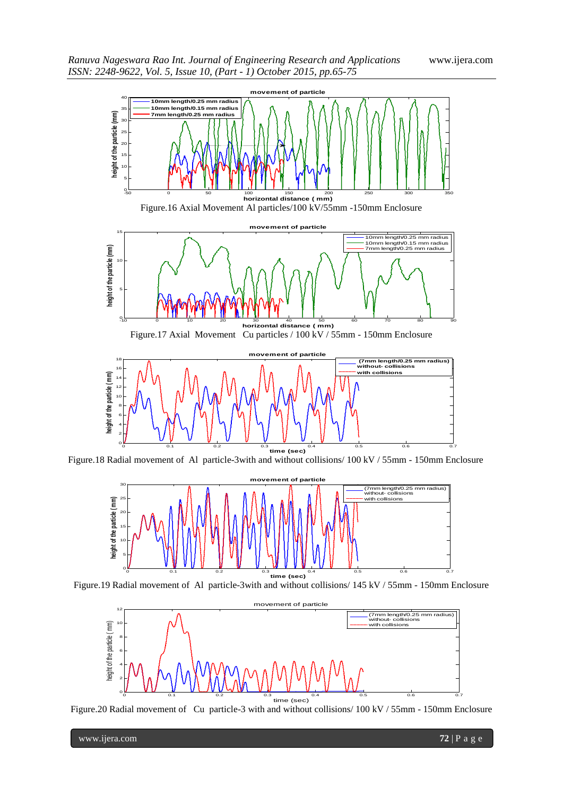

Figure.18 Radial movement of Al particle-3with and without collisions/ 100 kV / 55mm - 150mm Enclosure



Figure.19 Radial movement of Al particle-3with and without collisions/ 145 kV / 55mm - 150mm Enclosure



Figure.20 Radial movement of Cu particle-3 with and without collisions/ 100 kV / 55mm - 150mm Enclosure

www.ijera.com **72** | P a g e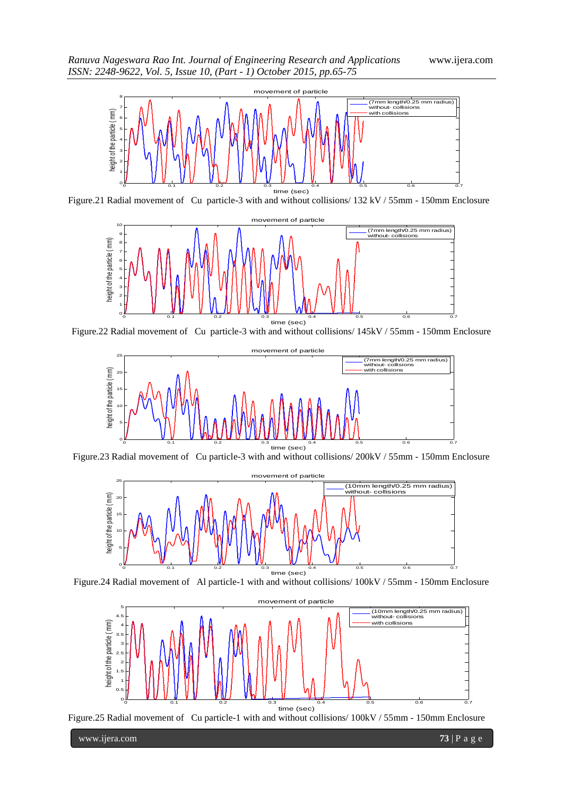

Figure.21 Radial movement of Cu particle-3 with and without collisions/ 132 kV / 55mm - 150mm Enclosure



Figure.22 Radial movement of Cu particle-3 with and without collisions/ 145kV / 55mm - 150mm Enclosure



Figure.23 Radial movement of Cu particle-3 with and without collisions/ 200kV / 55mm - 150mm Enclosure



Figure.24 Radial movement of Al particle-1 with and without collisions/ 100kV / 55mm - 150mm Enclosure





www.ijera.com **73** | P a g e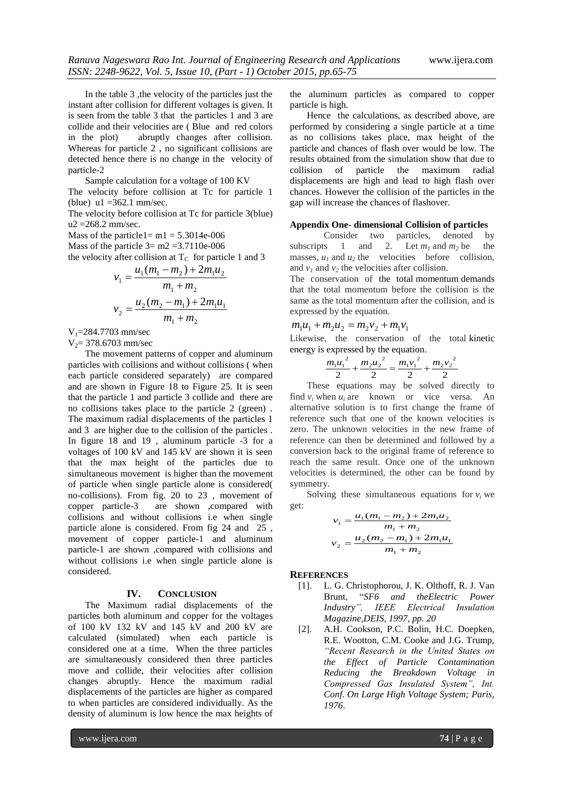In the table 3 ,the velocity of the particles just the instant after collision for different voltages is given. It is seen from the table 3 that the particles 1 and 3 are collide and their velocities are ( Blue and red colors in the plot) abruptly changes after collision. Whereas for particle 2 , no significant collisions are detected hence there is no change in the velocity of particle-2

Sample calculation for a voltage of 100 KV The velocity before collision at Tc for particle 1 (blue)  $u1 = 362.1$  mm/sec.

The velocity before collision at Tc for particle 3(blue) u2 =268.2 mm/sec.

Mass of the particle1=  $m1 = 5.3014e-006$ Mass of the particle  $3 = m2 = 3.7110e-006$ 

the velocity after collision at  $T_c$  for particle 1 and 3

$$
v_1 = \frac{u_1(m_1 - m_2) + 2m_1u_2}{m_1 + m_2}
$$
  

$$
v_2 = \frac{u_2(m_2 - m_1) + 2m_1u_1}{m_1 + m_2}
$$

 $V_1$ =284.7703 mm/sec

 $V_2$ = 378.6703 mm/sec

The movement patterns of copper and aluminum particles with collisions and without collisions ( when each particle considered separately) are compared and are shown in Figure 18 to Figure 25. It is seen that the particle 1 and particle 3 collide and there are no collisions takes place to the particle 2 (green) . The maximum radial displacements of the particles 1 and 3 are higher due to the collision of the particles . In figure 18 and 19 , aluminum particle -3 for a voltages of 100 kV and 145 kV are shown it is seen that the max height of the particles due to simultaneous movement is higher than the movement of particle when single particle alone is considered( no-collisions). From fig. 20 to 23 , movement of copper particle-3 are shown ,compared with collisions and without collisions i.e when single particle alone is considered. From fig 24 and 25 , movement of copper particle-1 and aluminum particle-1 are shown ,compared with collisions and without collisions i.e when single particle alone is considered.

#### **IV. CONCLUSION**

The Maximum radial displacements of the particles both aluminum and copper for the voltages of 100 kV 132 kV and 145 kV and 200 kV are calculated (simulated) when each particle is considered one at a time. When the three particles are simultaneously considered then three particles move and collide, their velocities after collision changes abruptly. Hence the maximum radial displacements of the particles are higher as compared to when particles are considered individually. As the density of aluminum is low hence the max heights of

the aluminum particles as compared to copper particle is high.

Hence the calculations, as described above, are performed by considering a single particle at a time as no collisions takes place, max height of the particle and chances of flash over would be low. The results obtained from the simulation show that due to collision of particle the maximum radial collision of particle the maximum radial displacements are high and lead to high flash over chances. However the collision of the particles in the gap will increase the chances of flashover.

#### **Appendix One- dimensional Collision of particles**

Consider two particles, denoted by subscripts 1 and 2. Let  $m_1$  and  $m_2$  be the masses,  $u_1$  and  $u_2$  the velocities before collision, and  $v_1$  and  $v_2$  the velocities after collision.

The conservation of the total [momentum](http://en.wikipedia.org/wiki/Momentum) demands that the total momentum before the collision is the same as the total momentum after the collision, and is expressed by the equation.

$$
m_1u_1 + m_2u_2 = m_2v_2 + m_1v_1
$$

Likewise, the conservation of the total [kinetic](http://en.wikipedia.org/wiki/Kinetic_energy)  [energy](http://en.wikipedia.org/wiki/Kinetic_energy) is expressed by the equation.

$$
\frac{m_1u_1^2}{2} + \frac{m_2u_2^2}{2} = \frac{m_1v_1^2}{2} + \frac{m_2v_2^2}{2}
$$

These equations may be solved directly to find  $v_i$  when  $u_i$  are known or vice versa. An alternative solution is to first change the frame of reference such that one of the known velocities is zero. The unknown velocities in the new frame of reference can then be determined and followed by a conversion back to the original frame of reference to reach the same result. Once one of the unknown velocities is determined, the other can be found by symmetry.

Solving these simultaneous equations for  $v_i$  we get:

$$
v_1 = \frac{u_1(m_1 - m_2) + 2m_1u_2}{m_1 + m_2}
$$
  

$$
v_2 = \frac{u_2(m_2 - m_1) + 2m_1u_1}{m_1 + m_2}
$$

#### **REFERENCES**

- [1]. L. G. Christophorou, J. K. Olthoff, R. J. Van Brunt, "*SF6 and theElectric Power Industry", IEEE Electrical Insulation Magazine,DEIS, 1997, pp. 20*
- [2]. A.H. Cookson, P.C. Bolin, H.C. Doepken, R.E. Wootton, C.M. Cooke and J.G. Trump, *"Recent Research in the United States on the Effect of Particle Contamination Reducing the Breakdown Voltage in Compressed Gas Insulated System", Int. Conf. On Large High Voltage System; Paris, 1976*.